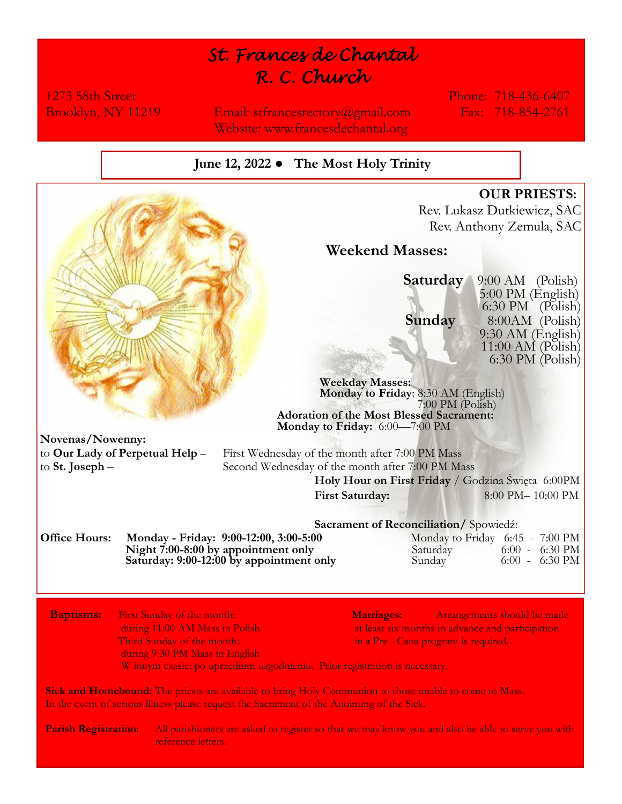# *St. Frances de Chantal R. C. Church*

1273 58th Street Phone: 718-436-6407

Brooklyn, NY 11219 Email: stfrancesrectory@gmail.com Fax: 718-854-2761 Website: www.francesdechantal.org

# **June 12, 2022 ● The Most Holy Trinity**



**Sick and Homebound:** The priests are available to bring Holy Communion to those unable to come to Mass. In the event of serious illness please request the Sacrament of the Anointing of the Sick.

**Parish Registration**: All parishioners are asked to register so that we may know you and also be able to serve you with reference letters.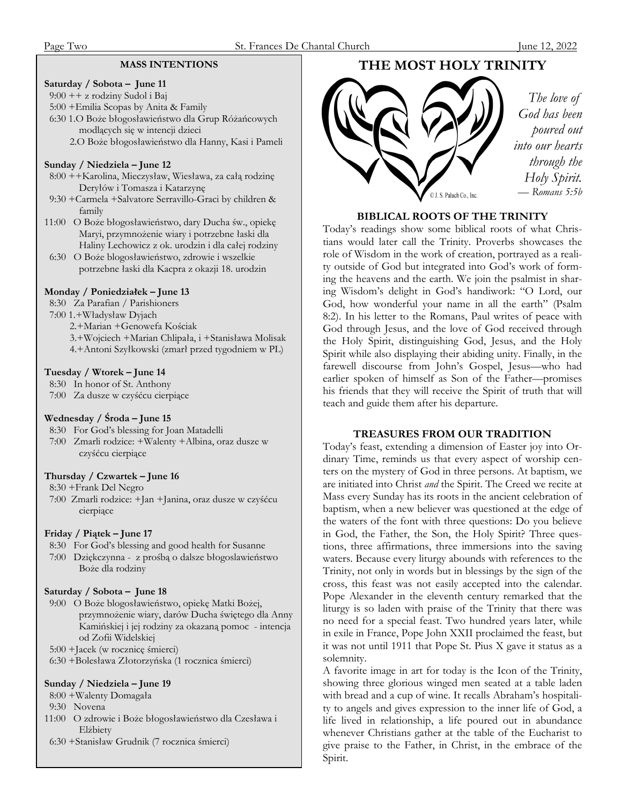#### **MASS INTENTIONS**

#### **Saturday / Sobota – June 11**

9:00 ++ z rodziny Sudol i Baj

5:00 +Emilia Scopas by Anita & Family

- 6:30 1.O Boże błogosławieństwo dla Grup Różańcowych modlących się w intencji dzieci
	- 2.O Boże błogosławieństwo dla Hanny, Kasi i Pameli

#### **Sunday / Niedziela – June 12**

- 8:00 ++Karolina, Mieczysław, Wiesława, za całą rodzinę Deryłów i Tomasza i Katarzynę
- 9:30 +Carmela +Salvatore Serravillo-Graci by children & family
- 11:00 O Boże błogosławieństwo, dary Ducha św., opiekę Maryi, przymnożenie wiary i potrzebne łaski dla Haliny Lechowicz z ok. urodzin i dla całej rodziny
- 6:30 O Boże blogosławieństwo, zdrowie i wszelkie potrzebne łaski dla Kacpra z okazji 18. urodzin

## **Monday / Poniedziałek – June 13**

8:30 Za Parafian / Parishioners

- 7:00 1.+Władysław Dyjach
	- 2.+Marian +Genowefa Kościak
	- 3.+Wojciech +Marian Chlipała, i +Stanisława Molisak
	- 4.+Antoni Szyłkowski (zmarł przed tygodniem w PL)

#### **Tuesday / Wtorek – June 14**

8:30 In honor of St. Anthony

7:00 Za dusze w czyśćcu cierpiące

## **Wednesday / Środa – June 15**

- 8:30 For God's blessing for Joan Matadelli
- 7:00 Zmarli rodzice: +Walenty +Albina, oraz dusze w czyśćcu cierpiące

## **Thursday / Czwartek – June 16**

8:30 +Frank Del Negro

 7:00 Zmarli rodzice: +Jan +Janina, oraz dusze w czyśćcu cierpiące

## **Friday / Piątek – June 17**

- 8:30 For God's blessing and good health for Susanne
- 7:00 Dziękczynna z prośbą o dalsze błogoslawieństwo Boże dla rodziny

#### **Saturday / Sobota – June 18**

- 9:00 O Boże blogosławieństwo, opiekę Matki Bożej, przymnożenie wiary, darów Ducha świętego dla Anny Kamińskiej i jej rodziny za okazaną pomoc - intencja od Zofii Widelskiej
- 5:00 +Jacek (w rocznicę śmierci)

6:30 +Bolesława Złotorzyńska (1 rocznica śmierci)

#### **Sunday / Niedziela – June 19**

8:00 +Walenty Domagała

- 9:30 Novena
- 11:00 O zdrowie i Boże błogosławieństwo dla Czesława i Elżbiety
- 6:30 +Stanisław Grudnik (7 rocznica śmierci)

# **THE MOST HOLY TRINITY**



# **BIBLICAL ROOTS OF THE TRINITY**

Today's readings show some biblical roots of what Christians would later call the Trinity. Proverbs showcases the role of Wisdom in the work of creation, portrayed as a reality outside of God but integrated into God's work of forming the heavens and the earth. We join the psalmist in sharing Wisdom's delight in God's handiwork: "O Lord, our God, how wonderful your name in all the earth" (Psalm 8:2). In his letter to the Romans, Paul writes of peace with God through Jesus, and the love of God received through the Holy Spirit, distinguishing God, Jesus, and the Holy Spirit while also displaying their abiding unity. Finally, in the farewell discourse from John's Gospel, Jesus—who had earlier spoken of himself as Son of the Father—promises his friends that they will receive the Spirit of truth that will teach and guide them after his departure.

#### **TREASURES FROM OUR TRADITION**

Today's feast, extending a dimension of Easter joy into Ordinary Time, reminds us that every aspect of worship centers on the mystery of God in three persons. At baptism, we are initiated into Christ *and* the Spirit. The Creed we recite at Mass every Sunday has its roots in the ancient celebration of baptism, when a new believer was questioned at the edge of the waters of the font with three questions: Do you believe in God, the Father, the Son, the Holy Spirit? Three questions, three affirmations, three immersions into the saving waters. Because every liturgy abounds with references to the Trinity, not only in words but in blessings by the sign of the cross, this feast was not easily accepted into the calendar. Pope Alexander in the eleventh century remarked that the liturgy is so laden with praise of the Trinity that there was no need for a special feast. Two hundred years later, while in exile in France, Pope John XXII proclaimed the feast, but it was not until 1911 that Pope St. Pius X gave it status as a solemnity.

A favorite image in art for today is the Icon of the Trinity, showing three glorious winged men seated at a table laden with bread and a cup of wine. It recalls Abraham's hospitality to angels and gives expression to the inner life of God, a life lived in relationship, a life poured out in abundance whenever Christians gather at the table of the Eucharist to give praise to the Father, in Christ, in the embrace of the Spirit.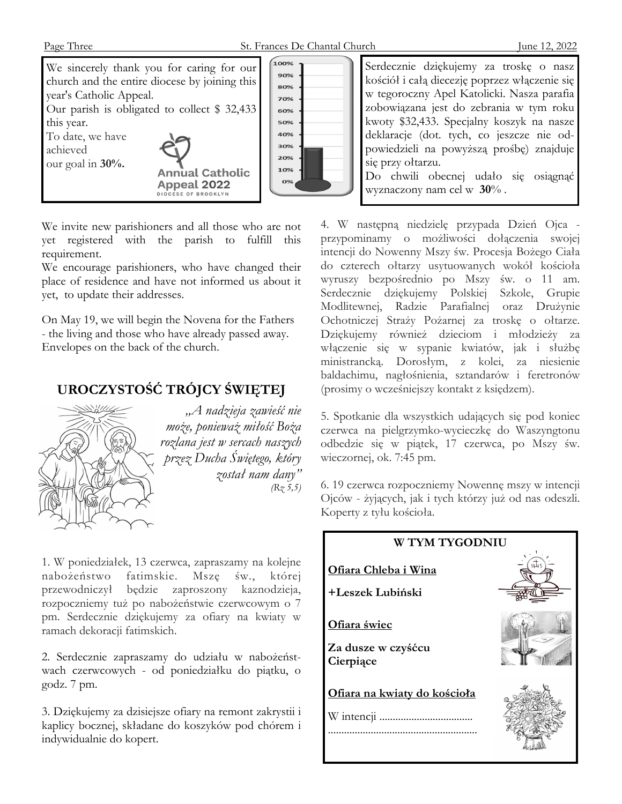

We invite new parishioners and all those who are not yet registered with the parish to fulfill this requirement.

We encourage parishioners, who have changed their place of residence and have not informed us about it yet, to update their addresses.

On May 19, we will begin the Novena for the Fathers - the living and those who have already passed away. Envelopes on the back of the church.

# **UROCZYSTOŚĆ TRÓJCY ŚWIĘTEJ**



*"A nadzieja zawieść nie może, ponieważ miłość Boża rozlana jest w sercach naszych przez Ducha Świętego, który został nam dany" (Rz 5,5)* 

1. W poniedziałek, 13 czerwca, zapraszamy na kolejne nabożeństwo fatimskie. Mszę św., której przewodniczył będzie zaproszony kaznodzieja, rozpoczniemy tuż po nabożeństwie czerwcowym o 7 pm. Serdecznie dziękujemy za ofiary na kwiaty w ramach dekoracji fatimskich.

2. Serdecznie zapraszamy do udziału w nabożeństwach czerwcowych - od poniedziałku do piątku, o godz. 7 pm.

3. Dziękujemy za dzisiejsze ofiary na remont zakrystii i kaplicy bocznej, składane do koszyków pod chórem i indywidualnie do kopert.

Serdecznie dziękujemy za troskę o nasz kościół i całą diecezję poprzez włączenie się w tegoroczny Apel Katolicki. Nasza parafia zobowiązana jest do zebrania w tym roku kwoty \$32,433. Specjalny koszyk na nasze deklaracje (dot. tych, co jeszcze nie odpowiedzieli na powyższą prośbę) znajduje się przy ołtarzu. Do chwili obecnej udało się osiągnąć wyznaczony nam cel w **30**% .

4. W następną niedzielę przypada Dzień Ojca przypominamy o możliwości dołączenia swojej intencji do Nowenny Mszy św. Procesja Bożego Ciała do czterech ołtarzy usytuowanych wokół kościoła wyruszy bezpośrednio po Mszy św. o 11 am. Serdecznie dziękujemy Polskiej Szkole, Grupie Modlitewnej, Radzie Parafialnej oraz Drużynie Ochotniczej Straży Pożarnej za troskę o ołtarze. Dziękujemy również dzieciom i młodzieży za włączenie się w sypanie kwiatów, jak i służbę ministrancką. Dorosłym, z kolei, za niesienie baldachimu, nagłośnienia, sztandarów i feretronów (prosimy o wcześniejszy kontakt z księdzem).

5. Spotkanie dla wszystkich udających się pod koniec czerwca na pielgrzymko-wycieczkę do Waszyngtonu odbedzie się w piątek, 17 czerwca, po Mszy św. wieczornej, ok. 7:45 pm.

6. 19 czerwca rozpoczniemy Nowennę mszy w intencji Ojców - żyjących, jak i tych którzy już od nas odeszli. Koperty z tyłu kościoła.